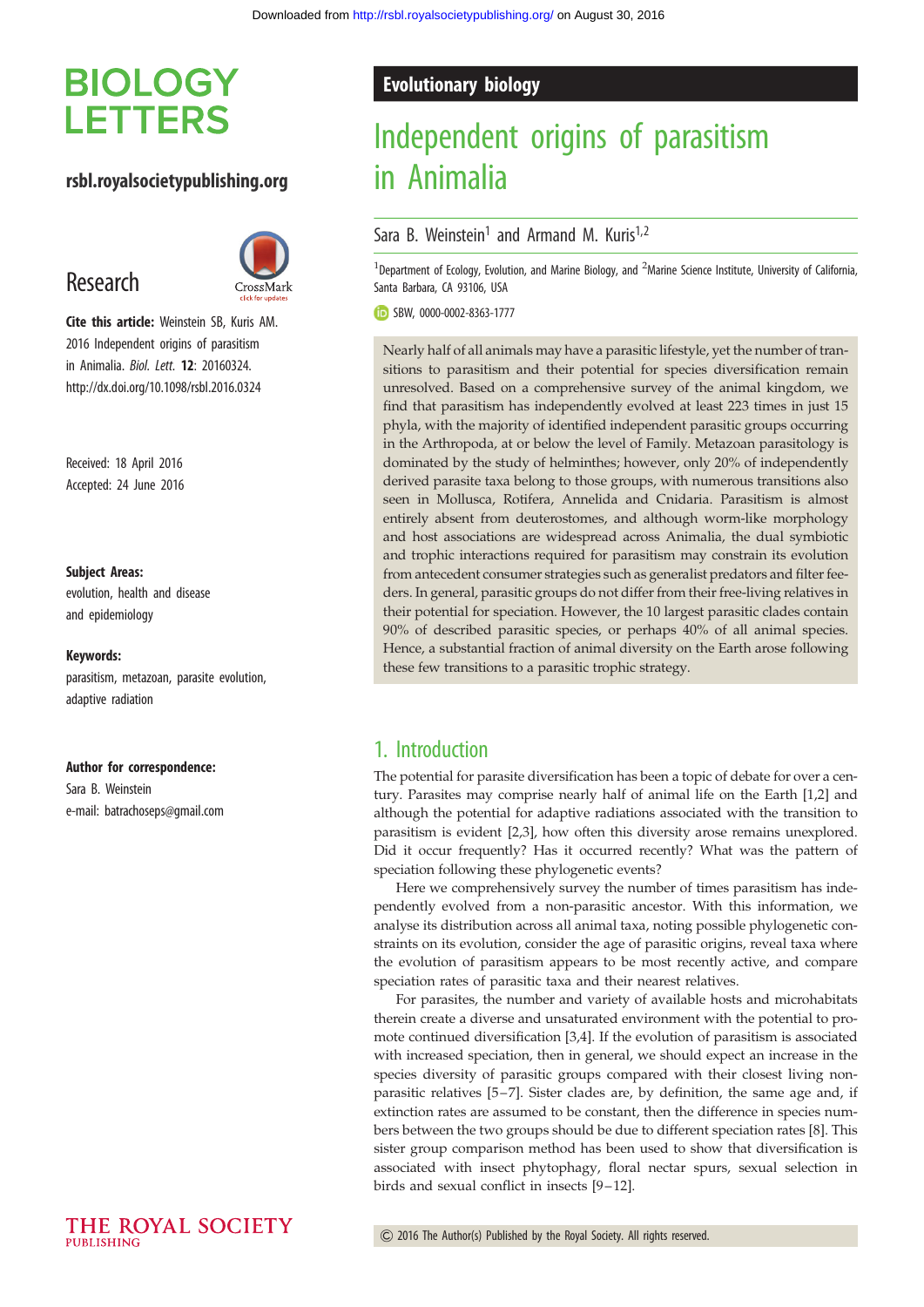## **BIOLOGY LETTERS**

### rsbl.royalsocietypublishing.org

## Research



Cite this article: Weinstein SB, Kuris AM. 2016 Independent origins of parasitism in Animalia. Biol. Lett. 12: 20160324. http://dx.doi.org/10.1098/rsbl.2016.0324

Received: 18 April 2016 Accepted: 24 June 2016

#### Subject Areas:

evolution, health and disease and epidemiology

#### Keywords:

parasitism, metazoan, parasite evolution, adaptive radiation

### Author for correspondence:

Sara B. Weinstein e-mail: [batrachoseps@gmail.com](mailto:batrachoseps@gmail.com)

### Evolutionary biology

# Independent origins of parasitism in Animalia

### Sara B. Weinstein<sup>1</sup> and Armand M. Kuris<sup>1,2</sup>

<sup>1</sup>Department of Ecology, Evolution, and Marine Biology, and <sup>2</sup>Marine Science Institute, University of California, Santa Barbara, CA 93106, USA

SBW, [0000-0002-8363-1777](http://orcid.org/0000-0002-8363-1777)

Nearly half of all animals may have a parasitic lifestyle, yet the number of transitions to parasitism and their potential for species diversification remain unresolved. Based on a comprehensive survey of the animal kingdom, we find that parasitism has independently evolved at least 223 times in just 15 phyla, with the majority of identified independent parasitic groups occurring in the Arthropoda, at or below the level of Family. Metazoan parasitology is dominated by the study of helminthes; however, only 20% of independently derived parasite taxa belong to those groups, with numerous transitions also seen in Mollusca, Rotifera, Annelida and Cnidaria. Parasitism is almost entirely absent from deuterostomes, and although worm-like morphology and host associations are widespread across Animalia, the dual symbiotic and trophic interactions required for parasitism may constrain its evolution from antecedent consumer strategies such as generalist predators and filter feeders. In general, parasitic groups do not differ from their free-living relatives in their potential for speciation. However, the 10 largest parasitic clades contain 90% of described parasitic species, or perhaps 40% of all animal species. Hence, a substantial fraction of animal diversity on the Earth arose following these few transitions to a parasitic trophic strategy.

### 1. Introduction

The potential for parasite diversification has been a topic of debate for over a century. Parasites may comprise nearly half of animal life on the Earth [\[1,2](#page-3-0)] and although the potential for adaptive radiations associated with the transition to parasitism is evident [\[2,3](#page-3-0)], how often this diversity arose remains unexplored. Did it occur frequently? Has it occurred recently? What was the pattern of speciation following these phylogenetic events?

Here we comprehensively survey the number of times parasitism has independently evolved from a non-parasitic ancestor. With this information, we analyse its distribution across all animal taxa, noting possible phylogenetic constraints on its evolution, consider the age of parasitic origins, reveal taxa where the evolution of parasitism appears to be most recently active, and compare speciation rates of parasitic taxa and their nearest relatives.

For parasites, the number and variety of available hosts and microhabitats therein create a diverse and unsaturated environment with the potential to promote continued diversification [\[3,4](#page-3-0)]. If the evolution of parasitism is associated with increased speciation, then in general, we should expect an increase in the species diversity of parasitic groups compared with their closest living nonparasitic relatives [[5](#page-3-0) –[7](#page-3-0)]. Sister clades are, by definition, the same age and, if extinction rates are assumed to be constant, then the difference in species numbers between the two groups should be due to different speciation rates [\[8\]](#page-3-0). This sister group comparison method has been used to show that diversification is associated with insect phytophagy, floral nectar spurs, sexual selection in birds and sexual conflict in insects [\[9](#page-3-0)-[12](#page-3-0)].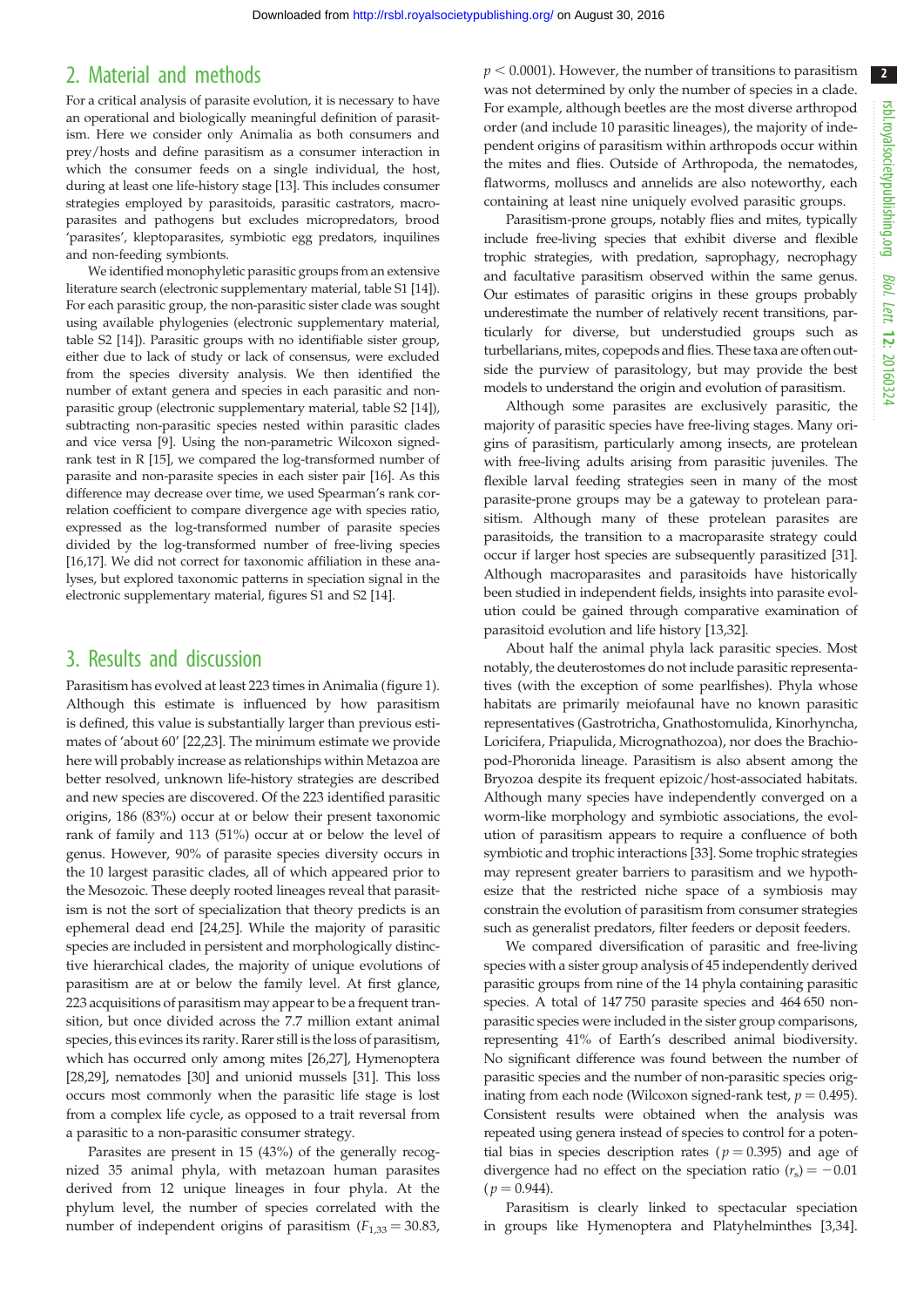2

### 2. Material and methods

For a critical analysis of parasite evolution, it is necessary to have an operational and biologically meaningful definition of parasitism. Here we consider only Animalia as both consumers and prey/hosts and define parasitism as a consumer interaction in which the consumer feeds on a single individual, the host, during at least one life-history stage [[13\]](#page-3-0). This includes consumer strategies employed by parasitoids, parasitic castrators, macroparasites and pathogens but excludes micropredators, brood 'parasites', kleptoparasites, symbiotic egg predators, inquilines and non-feeding symbionts.

We identified monophyletic parasitic groups from an extensive literature search (electronic supplementary material, table S1 [[14](#page-3-0)]). For each parasitic group, the non-parasitic sister clade was sought using available phylogenies (electronic supplementary material, table S2 [[14](#page-3-0)]). Parasitic groups with no identifiable sister group, either due to lack of study or lack of consensus, were excluded from the species diversity analysis. We then identified the number of extant genera and species in each parasitic and nonparasitic group (electronic supplementary material, table S2 [[14](#page-3-0)]), subtracting non-parasitic species nested within parasitic clades and vice versa [\[9\]](#page-3-0). Using the non-parametric Wilcoxon signedrank test in R [[15](#page-3-0)], we compared the log-transformed number of parasite and non-parasite species in each sister pair [\[16\]](#page-3-0). As this difference may decrease over time, we used Spearman's rank correlation coefficient to compare divergence age with species ratio, expressed as the log-transformed number of parasite species divided by the log-transformed number of free-living species [\[16,17](#page-3-0)]. We did not correct for taxonomic affiliation in these analyses, but explored taxonomic patterns in speciation signal in the electronic supplementary material, figures S1 and S2 [\[14\]](#page-3-0).

### 3. Results and discussion

Parasitism has evolved at least 223 times in Animalia [\(figure 1](#page-2-0)). Although this estimate is influenced by how parasitism is defined, this value is substantially larger than previous estimates of 'about 60' [[22](#page-3-0),[23](#page-3-0)]. The minimum estimate we provide here will probably increase as relationships within Metazoa are better resolved, unknown life-history strategies are described and new species are discovered. Of the 223 identified parasitic origins, 186 (83%) occur at or below their present taxonomic rank of family and 113 (51%) occur at or below the level of genus. However, 90% of parasite species diversity occurs in the 10 largest parasitic clades, all of which appeared prior to the Mesozoic. These deeply rooted lineages reveal that parasitism is not the sort of specialization that theory predicts is an ephemeral dead end [\[24](#page-3-0),[25](#page-3-0)]. While the majority of parasitic species are included in persistent and morphologically distinctive hierarchical clades, the majority of unique evolutions of parasitism are at or below the family level. At first glance, 223 acquisitions of parasitism may appear to be a frequent transition, but once divided across the 7.7 million extant animal species, this evinces its rarity. Rarer still is the loss of parasitism, which has occurred only among mites [\[26,27](#page-4-0)], Hymenoptera [\[28,29](#page-4-0)], nematodes [\[30](#page-4-0)] and unionid mussels [\[31](#page-4-0)]. This loss occurs most commonly when the parasitic life stage is lost from a complex life cycle, as opposed to a trait reversal from a parasitic to a non-parasitic consumer strategy.

Parasites are present in 15 (43%) of the generally recognized 35 animal phyla, with metazoan human parasites derived from 12 unique lineages in four phyla. At the phylum level, the number of species correlated with the number of independent origins of parasitism  $(F_{1,33} = 30.83)$ ,

 $p < 0.0001$ ). However, the number of transitions to parasitism was not determined by only the number of species in a clade. For example, although beetles are the most diverse arthropod order (and include 10 parasitic lineages), the majority of independent origins of parasitism within arthropods occur within the mites and flies. Outside of Arthropoda, the nematodes, flatworms, molluscs and annelids are also noteworthy, each containing at least nine uniquely evolved parasitic groups.

Parasitism-prone groups, notably flies and mites, typically include free-living species that exhibit diverse and flexible trophic strategies, with predation, saprophagy, necrophagy and facultative parasitism observed within the same genus. Our estimates of parasitic origins in these groups probably underestimate the number of relatively recent transitions, particularly for diverse, but understudied groups such as turbellarians, mites, copepods and flies. These taxa are often outside the purview of parasitology, but may provide the best models to understand the origin and evolution of parasitism.

Although some parasites are exclusively parasitic, the majority of parasitic species have free-living stages. Many origins of parasitism, particularly among insects, are protelean with free-living adults arising from parasitic juveniles. The flexible larval feeding strategies seen in many of the most parasite-prone groups may be a gateway to protelean parasitism. Although many of these protelean parasites are parasitoids, the transition to a macroparasite strategy could occur if larger host species are subsequently parasitized [[31\]](#page-4-0). Although macroparasites and parasitoids have historically been studied in independent fields, insights into parasite evolution could be gained through comparative examination of parasitoid evolution and life history [\[13](#page-3-0),[32](#page-4-0)].

About half the animal phyla lack parasitic species. Most notably, the deuterostomes do not include parasitic representatives (with the exception of some pearlfishes). Phyla whose habitats are primarily meiofaunal have no known parasitic representatives (Gastrotricha, Gnathostomulida, Kinorhyncha, Loricifera, Priapulida, Micrognathozoa), nor does the Brachiopod-Phoronida lineage. Parasitism is also absent among the Bryozoa despite its frequent epizoic/host-associated habitats. Although many species have independently converged on a worm-like morphology and symbiotic associations, the evolution of parasitism appears to require a confluence of both symbiotic and trophic interactions [[33\]](#page-4-0). Some trophic strategies may represent greater barriers to parasitism and we hypothesize that the restricted niche space of a symbiosis may constrain the evolution of parasitism from consumer strategies such as generalist predators, filter feeders or deposit feeders.

We compared diversification of parasitic and free-living species with a sister group analysis of 45 independently derived parasitic groups from nine of the 14 phyla containing parasitic species. A total of 147 750 parasite species and 464 650 nonparasitic species were included in the sister group comparisons, representing 41% of Earth's described animal biodiversity. No significant difference was found between the number of parasitic species and the number of non-parasitic species originating from each node (Wilcoxon signed-rank test,  $p = 0.495$ ). Consistent results were obtained when the analysis was repeated using genera instead of species to control for a potential bias in species description rates ( $p = 0.395$ ) and age of divergence had no effect on the speciation ratio  $(r_s) = -0.01$  $(p = 0.944)$ .

Parasitism is clearly linked to spectacular speciation in groups like Hymenoptera and Platyhelminthes [[3](#page-3-0),[34\]](#page-4-0).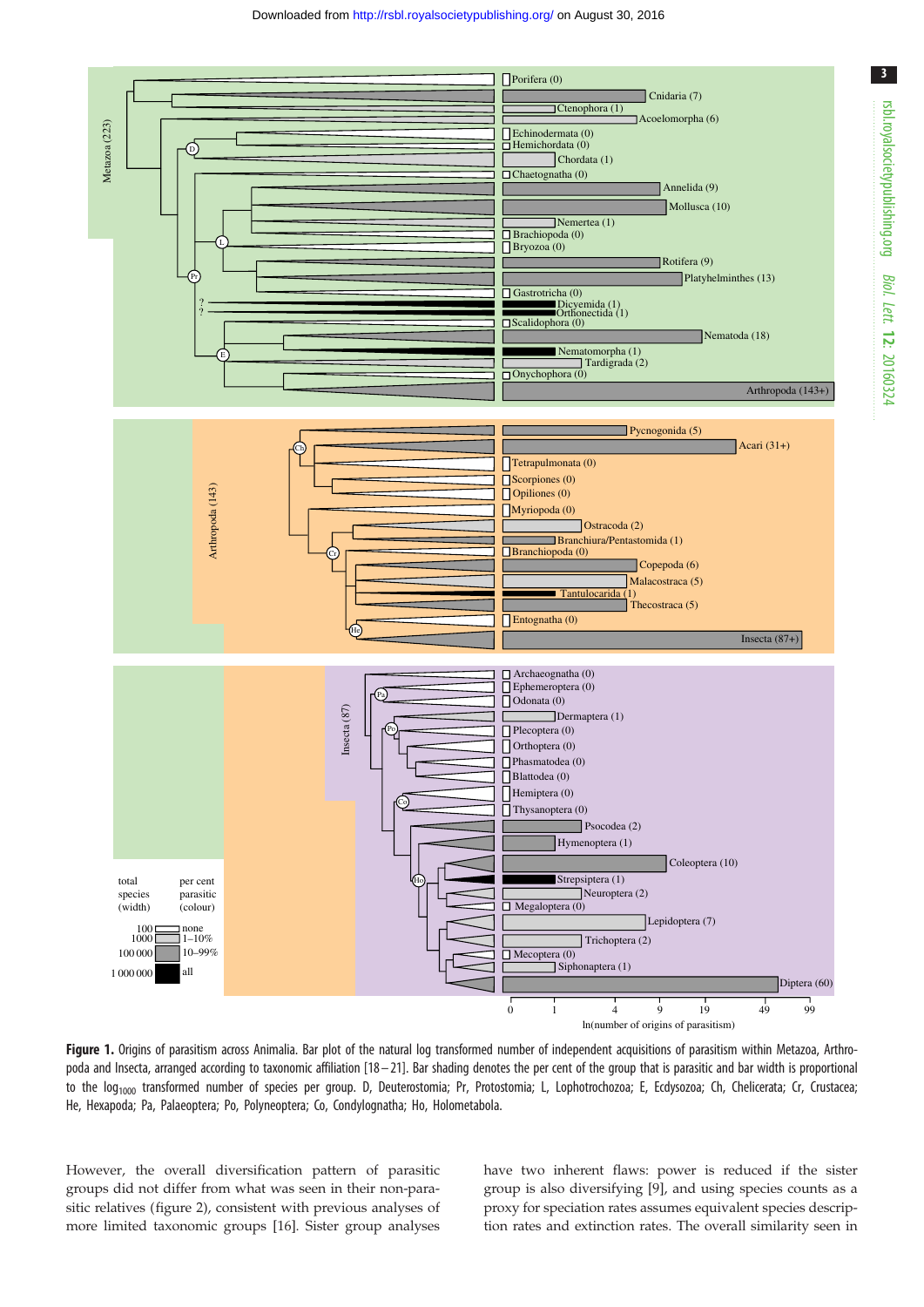<span id="page-2-0"></span>

Figure 1. Origins of parasitism across Animalia. Bar plot of the natural log transformed number of independent acquisitions of parasitism within Metazoa, Arthropoda and Insecta, arranged according to taxonomic affiliation [\[18](#page-3-0) – [21](#page-3-0)]. Bar shading denotes the per cent of the group that is parasitic and bar width is proportional to the log<sub>1000</sub> transformed number of species per group. D, Deuterostomia; Pr, Protostomia; L, Lophotrochozoa; E, Ecdysozoa; Ch, Chelicerata; Cr, Crustacea; He, Hexapoda; Pa, Palaeoptera; Po, Polyneoptera; Co, Condylognatha; Ho, Holometabola.

However, the overall diversification pattern of parasitic groups did not differ from what was seen in their non-parasitic relatives ([figure 2](#page-3-0)), consistent with previous analyses of more limited taxonomic groups [[16\]](#page-3-0). Sister group analyses

have two inherent flaws: power is reduced if the sister group is also diversifying [[9](#page-3-0)], and using species counts as a proxy for speciation rates assumes equivalent species description rates and extinction rates. The overall similarity seen in 3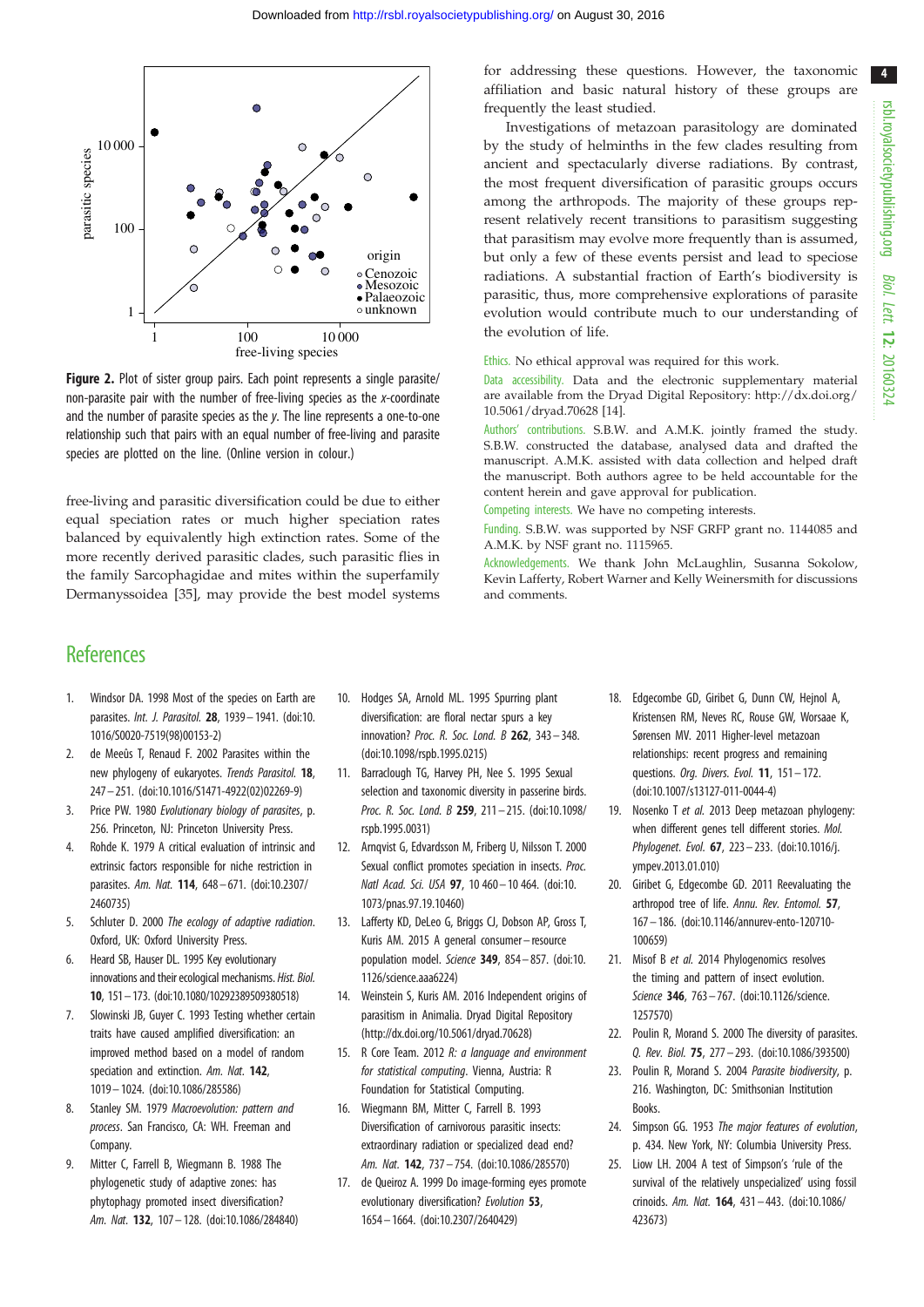4

<span id="page-3-0"></span>

Figure 2. Plot of sister group pairs. Each point represents a single parasite/ non-parasite pair with the number of free-living species as the x-coordinate and the number of parasite species as the y. The line represents a one-to-one relationship such that pairs with an equal number of free-living and parasite species are plotted on the line. (Online version in colour.)

free-living and parasitic diversification could be due to either equal speciation rates or much higher speciation rates balanced by equivalently high extinction rates. Some of the more recently derived parasitic clades, such parasitic flies in the family Sarcophagidae and mites within the superfamily Dermanyssoidea [\[35](#page-4-0)], may provide the best model systems for addressing these questions. However, the taxonomic affiliation and basic natural history of these groups are frequently the least studied.

Investigations of metazoan parasitology are dominated by the study of helminths in the few clades resulting from ancient and spectacularly diverse radiations. By contrast, the most frequent diversification of parasitic groups occurs among the arthropods. The majority of these groups represent relatively recent transitions to parasitism suggesting that parasitism may evolve more frequently than is assumed, but only a few of these events persist and lead to speciose radiations. A substantial fraction of Earth's biodiversity is parasitic, thus, more comprehensive explorations of parasite evolution would contribute much to our understanding of the evolution of life.

Ethics. No ethical approval was required for this work.

Data accessibility. Data and the electronic supplementary material are available from the Dryad Digital Repository: [http://dx.doi.org/](http://dx.doi.org/10.5061/dryad.70628) [10.5061/dryad.70628](http://dx.doi.org/10.5061/dryad.70628) [14].

Authors' contributions. S.B.W. and A.M.K. jointly framed the study. S.B.W. constructed the database, analysed data and drafted the manuscript. A.M.K. assisted with data collection and helped draft the manuscript. Both authors agree to be held accountable for the content herein and gave approval for publication.

Competing interests. We have no competing interests.

Funding. S.B.W. was supported by NSF GRFP grant no. 1144085 and A.M.K. by NSF grant no. 1115965.

Acknowledgements. We thank John McLaughlin, Susanna Sokolow, Kevin Lafferty, Robert Warner and Kelly Weinersmith for discussions and comments.

## **References**

- 1. Windsor DA. 1998 Most of the species on Earth are parasites. Int. J. Parasitol. 28, 1939– 1941. ([doi:10.](http://dx.doi.org/10.1016/S0020-7519(98)00153-2) [1016/S0020-7519\(98\)00153-2\)](http://dx.doi.org/10.1016/S0020-7519(98)00153-2)
- 2. de Meeûs T, Renaud F. 2002 Parasites within the new phylogeny of eukaryotes. Trends Parasitol. 18, 247– 251. ([doi:10.1016/S1471-4922\(02\)02269-9\)](http://dx.doi.org/10.1016/S1471-4922(02)02269-9)
- 3. Price PW. 1980 Evolutionary biology of parasites, p. 256. Princeton, NJ: Princeton University Press.
- 4. Rohde K. 1979 A critical evaluation of intrinsic and extrinsic factors responsible for niche restriction in parasites. Am. Nat. 114, 648– 671. ([doi:10.2307/](http://dx.doi.org/10.2307/2460735) [2460735\)](http://dx.doi.org/10.2307/2460735)
- 5. Schluter D. 2000 The ecology of adaptive radiation. Oxford, UK: Oxford University Press.
- 6. Heard SB, Hauser DL. 1995 Key evolutionary innovations and their ecological mechanisms. Hist. Biol. 10, 151–173. [\(doi:10.1080/10292389509380518\)](http://dx.doi.org/10.1080/10292389509380518)
- 7. Slowinski JB, Guyer C. 1993 Testing whether certain traits have caused amplified diversification: an improved method based on a model of random speciation and extinction. Am. Nat. 142, 1019 – 1024. [\(doi:10.1086/285586](http://dx.doi.org/10.1086/285586))
- 8. Stanley SM. 1979 Macroevolution: pattern and process. San Francisco, CA: WH. Freeman and Company.
- 9. Mitter C, Farrell B, Wiegmann B. 1988 The phylogenetic study of adaptive zones: has phytophagy promoted insect diversification? Am. Nat. 132, 107– 128. [\(doi:10.1086/284840](http://dx.doi.org/10.1086/284840))
- 10. Hodges SA, Arnold ML. 1995 Spurring plant diversification: are floral nectar spurs a key innovation? Proc. R. Soc. Lond. B  $262$ , 343 - 348. [\(doi:10.1098/rspb.1995.0215\)](http://dx.doi.org/10.1098/rspb.1995.0215)
- 11. Barraclough TG, Harvey PH, Nee S. 1995 Sexual selection and taxonomic diversity in passerine birds. Proc. R. Soc. Lond. B 259, 211-215. [\(doi:10.1098/](http://dx.doi.org/10.1098/rspb.1995.0031) [rspb.1995.0031](http://dx.doi.org/10.1098/rspb.1995.0031))
- 12. Arnqvist G, Edvardsson M, Friberg U, Nilsson T. 2000 Sexual conflict promotes speciation in insects. Proc. Natl Acad. Sci. USA 97, 10 460– 10 464. ([doi:10.](http://dx.doi.org/10.1073/pnas.97.19.10460) [1073/pnas.97.19.10460](http://dx.doi.org/10.1073/pnas.97.19.10460))
- 13. Lafferty KD, DeLeo G, Briggs CJ, Dobson AP, Gross T, Kuris AM. 2015 A general consumer–resource population model. Science 349, 854– 857. ([doi:10.](http://dx.doi.org/10.1126/science.aaa6224) [1126/science.aaa6224\)](http://dx.doi.org/10.1126/science.aaa6224)
- 14. Weinstein S, Kuris AM. 2016 Independent origins of parasitism in Animalia. Dryad Digital Repository [\(http://dx.doi.org/10.5061/dryad.70628\)](http://dx.doi.org/10.5061/dryad.70628)
- 15. R Core Team. 2012 R: a language and environment for statistical computing. Vienna, Austria: R Foundation for Statistical Computing.
- 16. Wiegmann BM, Mitter C, Farrell B. 1993 Diversification of carnivorous parasitic insects: extraordinary radiation or specialized dead end? Am. Nat. 142, 737 – 754. [\(doi:10.1086/285570\)](http://dx.doi.org/10.1086/285570)
- 17. de Queiroz A. 1999 Do image-forming eyes promote evolutionary diversification? Evolution 53, 1654– 1664. [\(doi:10.2307/2640429](http://dx.doi.org/10.2307/2640429))
- 18. Edgecombe GD, Giribet G, Dunn CW, Hejnol A, Kristensen RM, Neves RC, Rouse GW, Worsaae K, Sørensen MV. 2011 Higher-level metazoan relationships: recent progress and remaining questions. Org. Divers. Evol. 11, 151-172. ([doi:10.1007/s13127-011-0044-4](http://dx.doi.org/10.1007/s13127-011-0044-4))
- 19. Nosenko T et al. 2013 Deep metazoan phylogeny: when different genes tell different stories. Mol. Phylogenet. Evol. 67, 223– 233. [\(doi:10.1016/j.](http://dx.doi.org/10.1016/j.ympev.2013.01.010) [ympev.2013.01.010\)](http://dx.doi.org/10.1016/j.ympev.2013.01.010)
- 20. Giribet G, Edgecombe GD. 2011 Reevaluating the arthropod tree of life. Annu. Rev. Entomol. 57, 167– 186. [\(doi:10.1146/annurev-ento-120710-](http://dx.doi.org/10.1146/annurev-ento-120710-100659) [100659\)](http://dx.doi.org/10.1146/annurev-ento-120710-100659)
- 21. Misof B et al. 2014 Phylogenomics resolves the timing and pattern of insect evolution. Science 346, 763-767. [\(doi:10.1126/science.](http://dx.doi.org/10.1126/science.1257570) [1257570](http://dx.doi.org/10.1126/science.1257570))
- 22. Poulin R, Morand S. 2000 The diversity of parasites. Q. Rev. Biol. 75, 277 – 293. ([doi:10.1086/393500\)](http://dx.doi.org/10.1086/393500)
- 23. Poulin R, Morand S. 2004 Parasite biodiversity, p. 216. Washington, DC: Smithsonian Institution **Books**
- 24. Simpson GG. 1953 The major features of evolution, p. 434. New York, NY: Columbia University Press.
- 25. Liow LH. 2004 A test of Simpson's 'rule of the survival of the relatively unspecialized' using fossil crinoids. Am. Nat. 164, 431 – 443. ([doi:10.1086/](http://dx.doi.org/10.1086/423673) [423673\)](http://dx.doi.org/10.1086/423673)